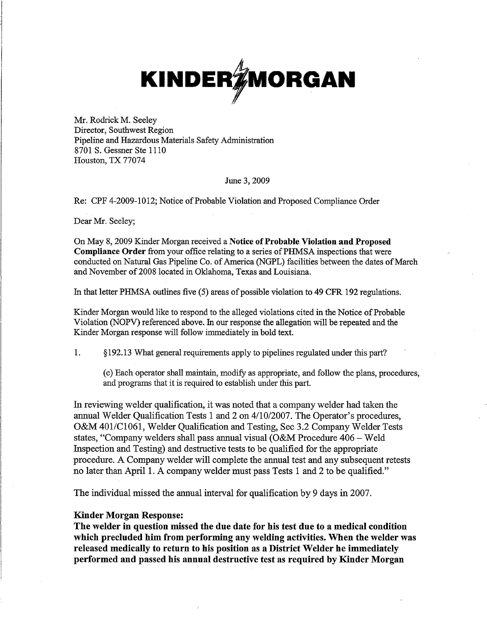

Mr. Rodrick M. Seeley Director, Southwest Region Pipeline and Hazardous Materials Safety Administration 8701 **S.** Gessner Ste 1110 Houston, TX 77074

### June 3,2009

Re: CPF 4-2009-1012; Notice of Probable Violation and Proposed Compliance Order

Dear Mr. Seeley;

On May 8,2009 Kinder Morgan received a **Notice of Probable Violation and Proposed Compliance Order** from your office relating to a series of PHMSA inspections that were conducted on Natural Gas Pipeline Co. of America (NGPL) facilities between the dates of March and November of 2008 located in Oklahoma, Texas and Louisiana.

In that letter PHMSA outlines five *(5)* areas of possible violation to 49 CFR 192 regulations.

Kinder Morgan would like to respond to the alleged violations cited in the Notice of Probable Violation (NOPV) referenced above. In our response the allegation will be repeated and the Kinder Morgan response will follow immediately in bold text.

1. **6** 192.13 What general requirements apply to pipelines regulated under this part? .

(c) Each operator shall maintain, modify as appropriate, and follow the plans, procedures, and programs that it is required to establish under this part.

In reviewing welder qualification, it was noted that a company welder had taken the annual Welder Qualification Tests 1 and 2 on 4/10/2007. The Operator's procedures, O&M 401/C1061, Welder Qualification and Testing, Sec 3.2 Company Welder Tests states, "Company welders shall pass annual visual (O&M Procedure 406 - Weld Inspection and Testing) and destructive tests to be qualified for the appropriate procedure. A Company welder will complete the annual test and any subsequent retests no later than April 1. A company welder must pass Tests 1 and 2 to be qualified."

The individual missed the annual interval for qualification by 9 days in 2007.

## **Kinder Morgan Response:**

**The welder in question missed the due date for his test due to a medical condition which precluded him from performing any welding activities. When the welder was released medically to return to his position as a District Welder he immediately performed and passed his annual destructive test as required by Kinder Morgan**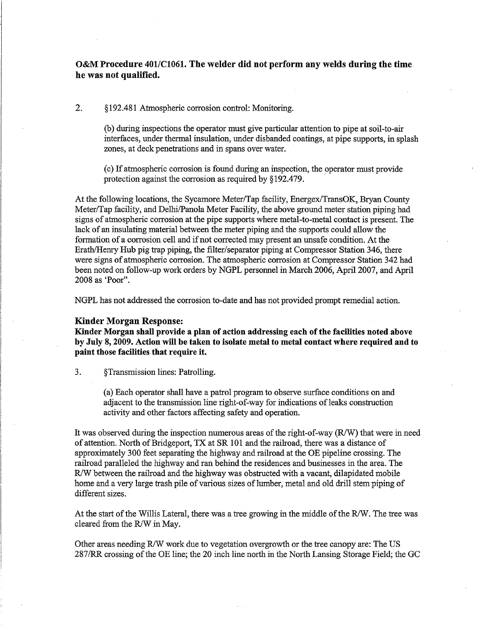# **O&M Procedure 401/C1061. The welder did not perform any welds during the time he was not qualified.**

*2.* \$ 192.48 1 Atmospheric corrosion control: Monitoring.

(b) during inspections the operator must give particular attention to pipe at soil-to-air interfaces, under thermal insulation, under disbanded coatings, at pipe supports, in splash zones, at deck penetrations and in spans over water.

(c) If atmospheric corrosion is found during an inspection, the operator must provide protection against the corrosion as required by \$192.479.

At the following locations, the Sycamore Meter/Tap facility, Energex/TransOK, Bryan County Meter/Tap facility, and Delhi/Panola Meter Facility, the above ground meter station piping had signs of atmospheric corrosion at the pipe supports where metal-to-metal contact is present. The lack of an insulating material between the meter piping and the supports could allow the formation of a corrosion cell and if not corrected may present an unsafe condition. At the Erath/Henry Hub pig trap piping, the filter/separator piping at Compressor Station 346, there were signs of atmospheric corrosion. The atmospheric corrosion at Compressor Station 342 had been noted on follow-up work orders by NGPL personnel in March 2006, April 2007, and April 2008 as 'Poor".

NGPL has not addressed the corrosion to-date and has not provided prompt remedial action.

#### **Kinder Morgan Response:**

**Kinder Morgan shall provide a plan of action addressing each of the facilities noted above by July 8,2009. Action will be taken to isolate metal to metal contact where required and to paint those facilities that require it.** 

3. \$Transmission lines: Patrolling.

(a) Each operator shall have a patrol program to observe surface conditions on and adjacent to the transmission line right-of-way for indications of leaks construction activity and other factors affecting safety and operation.

It was observed during the inspection numerous areas of the right-of-way *(WW)* that were in need of attention. North of Bridgeport, TX at SR 101 and the railroad, there was a distance of approximately 300 feet separating the highway and railroad at the OE pipeline crossing. The railroad paralleled the highway and ran behind the residences and businesses in the area. The R/W between the railroad and the highway was obstructed with a vacant, dilapidated mobile home and a very large trash pile of various sizes of lumber, metal and old drill stem piping of different sizes.

At the start of the Willis Lateral, there was a tree growing in the middle of the R/W. The tree was cleared from the R/W in May.

Other areas needing R/W work due to vegetation overgrowth or the tree canopy are: The US 287/RR crossing of the OE line; the 20 inch line north in the North Lansing Storage Field; the GC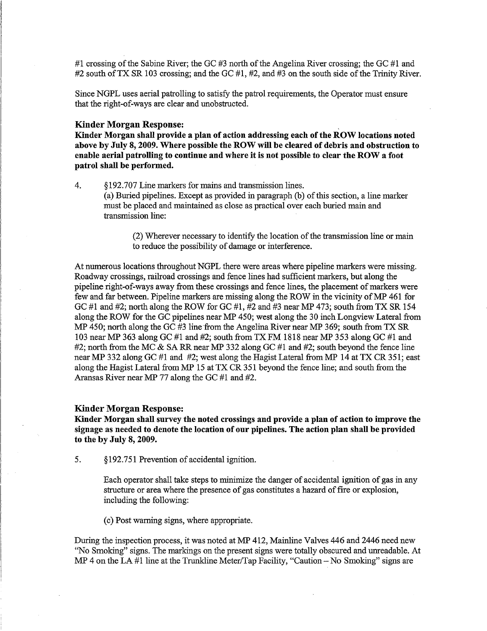#1 crossing of the Sabine River; the GC #3 north of the Angelina River crossing; the GC #1 and #2 south of TX SR 103 crossing; and the GC #1, #2, and #3 on the south side of the Trinity River.

Since NGPL uses aerial patrolling to satisfy the patrol requirements, the Operator must ensure that the right-of-ways are clear and unobstructed.

## **Kinder Morgan Response:**

**Kinder Morgan shall provide a plan of action addressing each of the ROW locations noted above by July 8,2009. Where possible the ROW will be cleared of debris and obstruction to enable aerial patrolling to continue and where it is not possible to clear the ROW a foot patrol shall be performed.** 

4. *5* 192.707 Line markers for mains and transmission lines. (a) Buried pipelines. Except as provided in paragraph (b) of this section, a line marker must be placed and maintained as close as practical over each buried main and transmission line:

> (2) Wherever necessary to identify the location of the transmission line or main to reduce the possibility of damage or interference.

At numerous locations throughout NGPL there were areas where pipeline markers were missing. Roadway crossings, railroad crossings and fence lines had sufficient markers, but along the pipeline right-of-ways away from these crossings and fence lines, the placement of markers were few and far between. Pipeline markers are missing along the ROW in the vicinity of *MP* 461 for GC #1 and #2; north along the ROW for GC #1, #2 and #3 near *MP* 473; south from TX SR 154 along the ROW for the GC pipelines near *MP* 450; west along the 30 inch Longview Lateral from MP 450; north along the GC #3 line-from the Angelina River near *Mp* 369; south from TX SR 103 near *MP* 363 along GC #1 and #2; south from TX FM 1818 near *MP* 353 along GC #1 and #2; north from the MC & SA RR near *MP* 332 along GC #1 and #2; south beyond the fence line near MP 332 along GC #1 and #2; west along the Hagist Lateral from *MP* 14 at TX CR 351; east along the Hagist Lateral from *MP* 15 at TX CR 351 beyond the fence line; and south from the Aransas River near *MP* 77 along the GC #1 and #2.

#### **Kinder Morgan Response:**

**Kinder Morgan shall survey the noted crossings and provide a plan of action to improve the signage as needed to denote the location of our pipelines. The action plan shall be provided to the by July 8,2009.** 

5. *5* 192.75 1 Prevention of accidental ignition.

Each operator shall take steps to minimize the danger of accidental ignition of gas in any structure or area where the presence of gas constitutes a hazard of fire or explosion, including the following:

(c) Post warning signs, where appropriate.

During the inspection process, it was noted at *MP* 412, Mainline Valves 446 and 2446 need new "No Smoking" signs. The markings on the present signs were totally obscured and unreadable. At *MP* 4 on the LA #1 line at the Trunkline Meter/Tap Facility, "Caution – No Smoking" signs are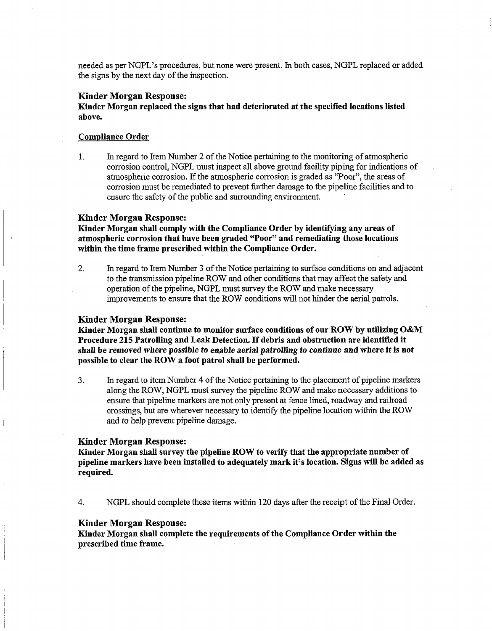needed as per NGPL's procedures, but none were present. In both cases, NGPL replaced or added the signs by the next day of the inspection.

## **Kinder Morgan Response:**

Kinder Morgan replaced the signs that had deteriorated at the specified locations listed above.

#### Compliance Order

1. In regard to Item Number 2 of the Notice pertaining to the monitoring of atmospheric corrosion control, NGPL must inspect all above ground facility piping for indications of atmospheric corrosion. If the atmospheric corrosion is graded as "Poor", the areas of corrosion must be remediated to prevent further damage to the pipeline facilities and to ensure the safety of the public and surrounding environment.

#### **Kinder Morgan Response:**

Kinder Morgan shall comply with the Compliance Order by identifying any areas of atmospheric corrosion that have been graded "Poor" and remediating those locations within the time frame prescribed within the Compliance Order.

2. In regard to Item Number 3 of the Notice pertaining to surface conditions on and adjacent to the transmission pipeline ROW and other conditions that may affect the safety and operation of the pipeline, NGPL must survey the ROW and make necessary improvements to ensure that the ROW conditions will not hinder the aerial patrols.

#### **Kinder Morgan Response:**

Kinder Morgan shall continue to monitor surface conditions of our ROW by utilizing **O&M**  Procedure 215 Patrolling and Leak Detection. If debris and obstruction are identified it shall be removed *where possible to enable aerial patrolling to continue* and where it is not possible to clear the ROW a foot patrol shall be performed.

3. In regard to item Number 4 of the Notice pertaining to the placement of pipeline markers along the ROW, NGPL must survey the pipeline ROW and make necessary additions to ensure that pipeline markers are not only present at fence lined, roadway and railroad crossings, but are wherever necessary to identify the pipeline location within the ROW and to help prevent pipeline damage.

#### **Kinder Morgan Response:**

Kinder Morgan shall survey the pipeline RQW to verify that the appropriate number of pipeline markers have been installed to adequately mark it's location. Signs will be added as required.

4. NGPL should complete these items within 120 days after the receipt of the Final Order.

## **Kinder Morgan Response:**

Kinder Morgan shall complete the requirements of the Compliance Order within the prescribed time frame.